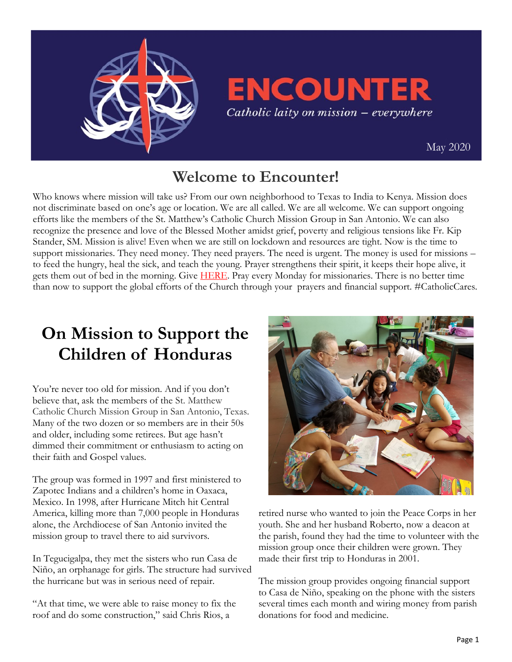

## **ENCOUNTER** Catholic laity on mission - everywhere

 [May 2020](https://uscatholicmission.org/encounter)

### **Welcome to Encounter!**

Who knows where mission will take us? From our own neighborhood to Texas to India to Kenya. Mission does not discriminate based on one's age or location. We are all called. We are all welcome. We can support ongoing efforts like the members of the St. Matthew's Catholic Church Mission Group in San Antonio. We can also recognize the presence and love of the Blessed Mother amidst grief, poverty and religious tensions like Fr. Kip Stander, SM. Mission is alive! Even when we are still on lockdown and resources are tight. Now is the time to support missionaries. They need money. They need prayers. The need is urgent. The money is used for missions – to feed the hungry, heal the sick, and teach the young. Prayer strengthens their spirit, it keeps their hope alive, it gets them out of bed in the morning. Give **HERE**. Pray every Monday for missionaries. There is no better time than now to support the global efforts of the Church through your prayers and financial support. #CatholicCares.

## **On Mission to Support the Children of Honduras**

You're never too old for mission. And if you don't believe that, ask the members of the St. Matthew Catholic Church Mission Group in San Antonio, Texas. Many of the two dozen or so members are in their 50s and older, including some retirees. But age hasn't dimmed their commitment or enthusiasm to acting on their faith and Gospel values.

The group was formed in 1997 and first ministered to Zapotec Indians and a children's home in Oaxaca, Mexico. In 1998, after Hurricane Mitch hit Central America, killing more than 7,000 people in Honduras alone, the Archdiocese of San Antonio invited the mission group to travel there to aid survivors.

In Tegucigalpa, they met the sisters who run Casa de Niño, an orphanage for girls. The structure had survived the hurricane but was in serious need of repair.

"At that time, we were able to raise money to fix the roof and do some construction," said Chris Rios, a



retired nurse who wanted to join the Peace Corps in her youth. She and her husband Roberto, now a deacon at the parish, found they had the time to volunteer with the mission group once their children were grown. They made their first trip to Honduras in 2001.

The mission group provides ongoing financial support to Casa de Niño, speaking on the phone with the sisters several times each month and wiring money from parish donations for food and medicine.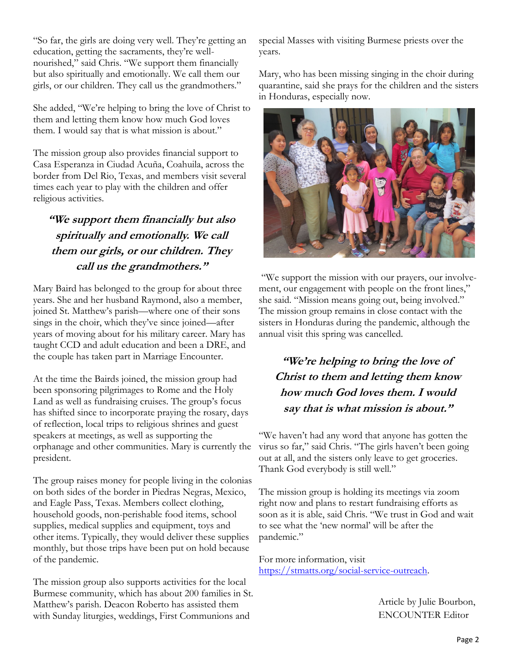"So far, the girls are doing very well. They're getting an education, getting the sacraments, they're wellnourished," said Chris. "We support them financially but also spiritually and emotionally. We call them our girls, or our children. They call us the grandmothers."

She added, "We're helping to bring the love of Christ to them and letting them know how much God loves them. I would say that is what mission is about."

The mission group also provides financial support to Casa Esperanza in Ciudad Acuña, Coahuila, across the border from Del Rio, Texas, and members visit several times each year to play with the children and offer religious activities.

#### **"We support them financially but also spiritually and emotionally. We call them our girls, or our children. They call us the grandmothers."**

Mary Baird has belonged to the group for about three years. She and her husband Raymond, also a member, joined St. Matthew's parish—where one of their sons sings in the choir, which they've since joined—after years of moving about for his military career. Mary has taught CCD and adult education and been a DRE, and the couple has taken part in Marriage Encounter.

At the time the Bairds joined, the mission group had been sponsoring pilgrimages to Rome and the Holy Land as well as fundraising cruises. The group's focus has shifted since to incorporate praying the rosary, days of reflection, local trips to religious shrines and guest speakers at meetings, as well as supporting the orphanage and other communities. Mary is currently the president.

The group raises money for people living in the colonias on both sides of the border in Piedras Negras, Mexico, and Eagle Pass, Texas. Members collect clothing, household goods, non-perishable food items, school supplies, medical supplies and equipment, toys and other items. Typically, they would deliver these supplies monthly, but those trips have been put on hold because of the pandemic.

The mission group also supports activities for the local Burmese community, which has about 200 families in St. Matthew's parish. Deacon Roberto has assisted them with Sunday liturgies, weddings, First Communions and

special Masses with visiting Burmese priests over the years.

Mary, who has been missing singing in the choir during quarantine, said she prays for the children and the sisters in Honduras, especially now.



"We support the mission with our prayers, our involvement, our engagement with people on the front lines," she said. "Mission means going out, being involved." The mission group remains in close contact with the sisters in Honduras during the pandemic, although the annual visit this spring was cancelled.

**"We're helping to bring the love of Christ to them and letting them know how much God loves them. I would say that is what mission is about."**

"We haven't had any word that anyone has gotten the virus so far," said Chris. "The girls haven't been going out at all, and the sisters only leave to get groceries. Thank God everybody is still well."

The mission group is holding its meetings via zoom right now and plans to restart fundraising efforts as soon as it is able, said Chris. "We trust in God and wait to see what the 'new normal' will be after the pandemic."

For more information, visit [https://stmatts.org/social-service-outreach.](https://stmatts.org/social-service-outreach) 

> Article by Julie Bourbon, ENCOUNTER Editor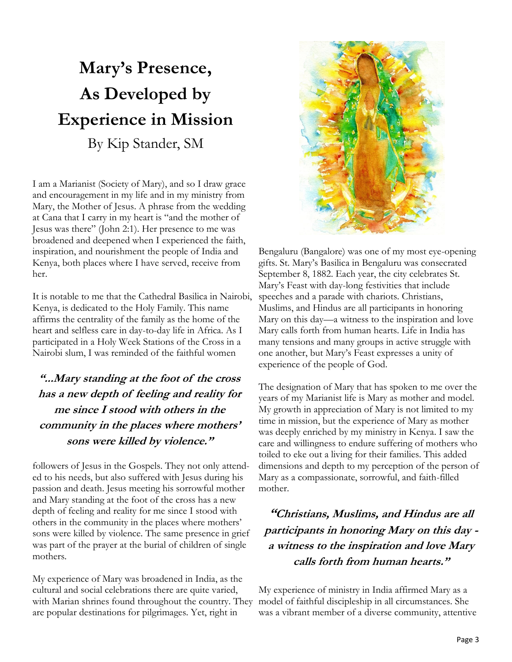# **Mary's Presence, As Developed by Experience in Mission** By Kip Stander, SM

I am a Marianist (Society of Mary), and so I draw grace and encouragement in my life and in my ministry from Mary, the Mother of Jesus. A phrase from the wedding at Cana that I carry in my heart is "and the mother of Jesus was there" (John 2:1). Her presence to me was broadened and deepened when I experienced the faith, inspiration, and nourishment the people of India and Kenya, both places where I have served, receive from her.

It is notable to me that the Cathedral Basilica in Nairobi, Kenya, is dedicated to the Holy Family. This name affirms the centrality of the family as the home of the heart and selfless care in day-to-day life in Africa. As I participated in a Holy Week Stations of the Cross in a Nairobi slum, I was reminded of the faithful women

### **"...Mary standing at the foot of the cross has a new depth of feeling and reality for me since I stood with others in the community in the places where mothers' sons were killed by violence."**

followers of Jesus in the Gospels. They not only attended to his needs, but also suffered with Jesus during his passion and death. Jesus meeting his sorrowful mother and Mary standing at the foot of the cross has a new depth of feeling and reality for me since I stood with others in the community in the places where mothers' sons were killed by violence. The same presence in grief was part of the prayer at the burial of children of single mothers.

My experience of Mary was broadened in India, as the cultural and social celebrations there are quite varied, with Marian shrines found throughout the country. They are popular destinations for pilgrimages. Yet, right in



Bengaluru (Bangalore) was one of my most eye-opening gifts. St. Mary's Basilica in Bengaluru was consecrated September 8, 1882. Each year, the city celebrates St. Mary's Feast with day-long festivities that include speeches and a parade with chariots. Christians, Muslims, and Hindus are all participants in honoring Mary on this day—a witness to the inspiration and love Mary calls forth from human hearts. Life in India has many tensions and many groups in active struggle with one another, but Mary's Feast expresses a unity of experience of the people of God.

The designation of Mary that has spoken to me over the years of my Marianist life is Mary as mother and model. My growth in appreciation of Mary is not limited to my time in mission, but the experience of Mary as mother was deeply enriched by my ministry in Kenya. I saw the care and willingness to endure suffering of mothers who toiled to eke out a living for their families. This added dimensions and depth to my perception of the person of Mary as a compassionate, sorrowful, and faith-filled mother.

**"Christians, Muslims, and Hindus are all participants in honoring Mary on this day a witness to the inspiration and love Mary calls forth from human hearts."**

My experience of ministry in India affirmed Mary as a model of faithful discipleship in all circumstances. She was a vibrant member of a diverse community, attentive